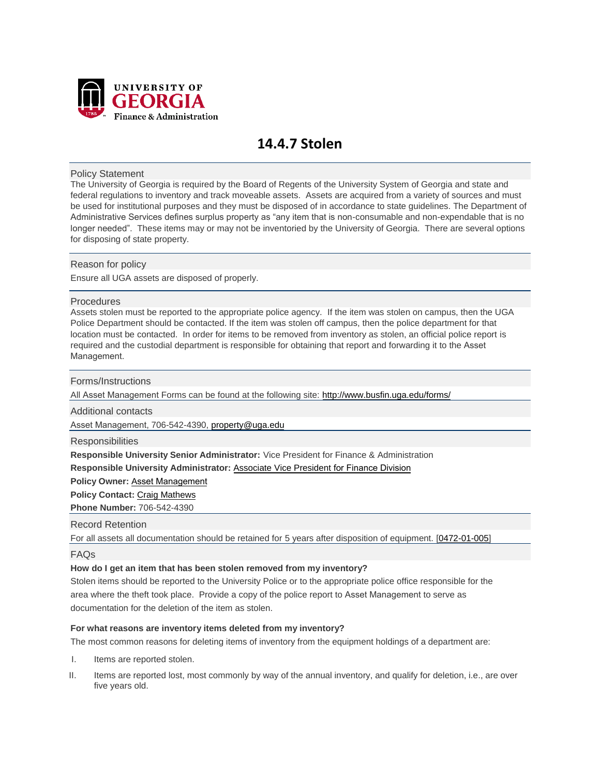

# **14.4.7 Stolen**

## Policy Statement

The University of Georgia is required by the Board of Regents of the University System of Georgia and state and federal regulations to inventory and track moveable assets. Assets are acquired from a variety of sources and must be used for institutional purposes and they must be disposed of in accordance to state guidelines. The Department of Administrative Services defines surplus property as "any item that is non-consumable and non-expendable that is no longer needed". These items may or may not be inventoried by the University of Georgia. There are several options for disposing of state property.

# Reason for policy

Ensure all UGA assets are disposed of properly.

# Procedures

Assets stolen must be reported to the appropriate police agency. If the item was stolen on campus, then the UGA Police Department should be contacted. If the item was stolen off campus, then the police department for that location must be contacted. In order for items to be removed from inventory as stolen, an official police report is required and the custodial department is responsible for obtaining that report and forwarding it to the Asset Management.

#### Forms/Instructions

All Asset Management Forms can be found at the following [site: http://www.busfin.uga.edu/form](http://www.busfin.uga.edu/forms/)s/

Additional contacts

Asset Management, 706-542-4390, pr[operty@uga.edu](mailto:property@uga.edu)

**Responsibilities** 

**Responsible University Senior Administrator:** Vice President for Finance & Administration

**Responsible University Administrator:** [Associate Vice President](http://www.busfin.uga.edu/controller/) for Finance Division

**Policy Owner:** A[sset Management](http://www.busfin.uga.edu/property_control/)

**Policy Contact:** [Craig Mathews](mailto:cmathews@uga.edu)

**Phone Number:** 706-542-4390

## Record Retention

For all assets all documentation should be retained for 5 years after disposition of equipment. [\[0472-01-005\]](http://www.usg.edu/records_management/schedules/usg_search/f232f48d59c5f5fda8b0adefab133edf/)

FAQs

#### **How do I get an item that has been stolen removed from my inventory?**

Stolen items should be reported to the University Police or to the appropriate police office responsible for the area where the theft took place. Provide a copy of the police report to Asset Management to serve as documentation for the deletion of the item as stolen.

#### **For what reasons are inventory items deleted from my inventory?**

The most common reasons for deleting items of inventory from the equipment holdings of a department are:

- I. Items are reported stolen.
- II. Items are reported lost, most commonly by way of the annual inventory, and qualify for deletion, i.e., are over five years old.